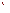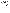## **Assessing EPA's Public Involvement Activities Checklist for Administering the Questionnaire and Using Results<sup>1</sup>**

| Review questionnaires.                                                                                                                                                                                                                                                                                                                                                                                                                                                                                                                                                                                                                                                                                                                                                                                                                                                                                                                                                                                                                                                                                                                                                                                                                                               |  |
|----------------------------------------------------------------------------------------------------------------------------------------------------------------------------------------------------------------------------------------------------------------------------------------------------------------------------------------------------------------------------------------------------------------------------------------------------------------------------------------------------------------------------------------------------------------------------------------------------------------------------------------------------------------------------------------------------------------------------------------------------------------------------------------------------------------------------------------------------------------------------------------------------------------------------------------------------------------------------------------------------------------------------------------------------------------------------------------------------------------------------------------------------------------------------------------------------------------------------------------------------------------------|--|
| Determine whether a questionnaire should be administered.                                                                                                                                                                                                                                                                                                                                                                                                                                                                                                                                                                                                                                                                                                                                                                                                                                                                                                                                                                                                                                                                                                                                                                                                            |  |
| Determine what questionnaire(s) should be administered.                                                                                                                                                                                                                                                                                                                                                                                                                                                                                                                                                                                                                                                                                                                                                                                                                                                                                                                                                                                                                                                                                                                                                                                                              |  |
| Identify one person to be responsible for coordinating the overall dissemination and collection of<br>the questionnaire and to input the data into the Lotus 1-2-3 data input, analysis, and reporting<br>program once the questionnaires are collected.                                                                                                                                                                                                                                                                                                                                                                                                                                                                                                                                                                                                                                                                                                                                                                                                                                                                                                                                                                                                             |  |
| Make plans to include the questionnaire feedback process in the agenda of your public<br>involvement event. Specifically, plan to set aside a few minutes before the conclusion of your<br>public involvement event and have participants fill out their questionnaires. You should also plan<br>to make an announcement at the beginning of your public involvement event explaining the<br>questionnaire feedback process and how feedback is needed from all participants in order to<br>develop a more comprehensive understanding of the overall effectiveness of the event and how<br>best to make improvements. Feedback is needed from participants who leave early and those<br>who stay to the end. If you don't build the questionnaire feedback process directly into your<br>event, and instead wait to the very end, chances are few participants will take the time to fill out<br>their questionnaires. Participants may suggest that they would prefer to fill out their<br>questionnaires at home or work. While this option is appealing for participants, chances are only<br>a few will take the time to actually do this. The best chance for good feedback is when<br>participants are actually at the event. Take the time to plan for this! |  |
| Estimate the number of participants who will be attending the public involvement event for which<br>questionnaires will be distributed.                                                                                                                                                                                                                                                                                                                                                                                                                                                                                                                                                                                                                                                                                                                                                                                                                                                                                                                                                                                                                                                                                                                              |  |
| Make appropriate number of copies of the questionnaire.                                                                                                                                                                                                                                                                                                                                                                                                                                                                                                                                                                                                                                                                                                                                                                                                                                                                                                                                                                                                                                                                                                                                                                                                              |  |
| Bring questionnaire copies and extra pens or pencils to the public involvement event.                                                                                                                                                                                                                                                                                                                                                                                                                                                                                                                                                                                                                                                                                                                                                                                                                                                                                                                                                                                                                                                                                                                                                                                |  |
| Identify official who will be responsible for physically collecting the questionnaires.                                                                                                                                                                                                                                                                                                                                                                                                                                                                                                                                                                                                                                                                                                                                                                                                                                                                                                                                                                                                                                                                                                                                                                              |  |
| Clearly identify areas where participants should return their questionnaires.                                                                                                                                                                                                                                                                                                                                                                                                                                                                                                                                                                                                                                                                                                                                                                                                                                                                                                                                                                                                                                                                                                                                                                                        |  |
| Hand out questionnaires with other public involvement activity materials either at the beginning of<br>the event, or at a designated time during the event.                                                                                                                                                                                                                                                                                                                                                                                                                                                                                                                                                                                                                                                                                                                                                                                                                                                                                                                                                                                                                                                                                                          |  |
| Make it very clear to participants to whom, or to where, they should return their questionnaire.<br>Urge participants to fill out their questionnaire even if they need to leave early.                                                                                                                                                                                                                                                                                                                                                                                                                                                                                                                                                                                                                                                                                                                                                                                                                                                                                                                                                                                                                                                                              |  |
| Identify the total number of participants attending (e.g., the total number of persons who could<br>possibly fill out questionnaires).                                                                                                                                                                                                                                                                                                                                                                                                                                                                                                                                                                                                                                                                                                                                                                                                                                                                                                                                                                                                                                                                                                                               |  |
| Recording Responses -- For now, collect questionnaires and record responses in a tabular<br>format that works for you. Include the date, location, total number of respondents and which<br>survey you used on the form.                                                                                                                                                                                                                                                                                                                                                                                                                                                                                                                                                                                                                                                                                                                                                                                                                                                                                                                                                                                                                                             |  |

 $1$ Note: The instructions above are designed primarily for questionnaires that seek the perspective of participants about the effectiveness of a single event. Depending upon the type of questionnaire you wish to distribute and the type of public involvement activity you wish to acquire feedback for, you will need to tailor the steps of this checklist accordingly.